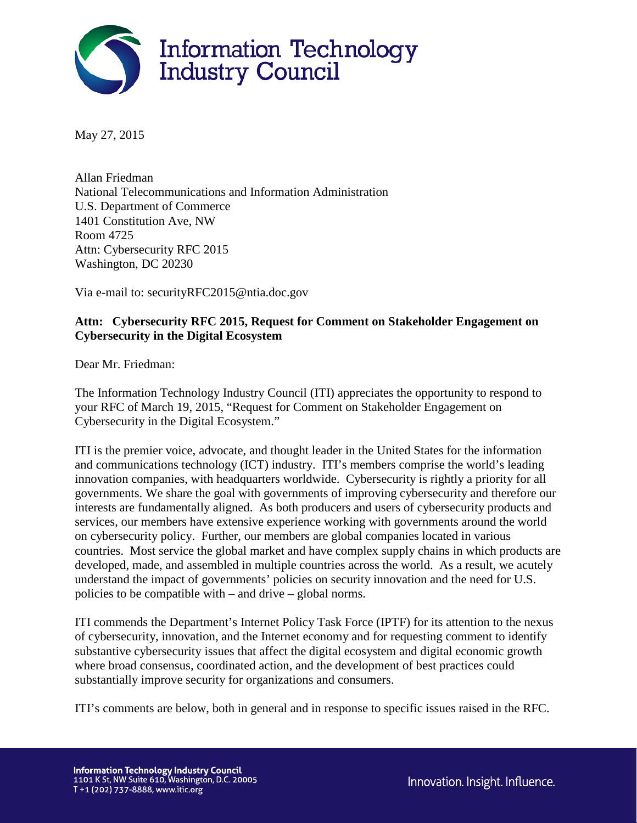

May 27, 2015

Allan Friedman National Telecommunications and Information Administration U.S. Department of Commerce 1401 Constitution Ave, NW Room 4725 Attn: Cybersecurity RFC 2015 Washington, DC 20230

Via e-mail to: securityRFC2015@ntia.doc.gov

# **Attn: Cybersecurity RFC 2015, Request for Comment on Stakeholder Engagement on Cybersecurity in the Digital Ecosystem**

Dear Mr. Friedman:

The Information Technology Industry Council (ITI) appreciates the opportunity to respond to your RFC of March 19, 2015, "Request for Comment on Stakeholder Engagement on Cybersecurity in the Digital Ecosystem."

ITI is the premier voice, advocate, and thought leader in the United States for the information and communications technology (ICT) industry. ITI's members comprise the world's leading innovation companies, with headquarters worldwide. Cybersecurity is rightly a priority for all governments. We share the goal with governments of improving cybersecurity and therefore our interests are fundamentally aligned. As both producers and users of cybersecurity products and services, our members have extensive experience working with governments around the world on cybersecurity policy. Further, our members are global companies located in various countries. Most service the global market and have complex supply chains in which products are developed, made, and assembled in multiple countries across the world. As a result, we acutely understand the impact of governments' policies on security innovation and the need for U.S. policies to be compatible with – and drive – global norms.

ITI commends the Department's Internet Policy Task Force (IPTF) for its attention to the nexus of cybersecurity, innovation, and the Internet economy and for requesting comment to identify substantive cybersecurity issues that affect the digital ecosystem and digital economic growth where broad consensus, coordinated action, and the development of best practices could substantially improve security for organizations and consumers.

ITI's comments are below, both in general and in response to specific issues raised in the RFC.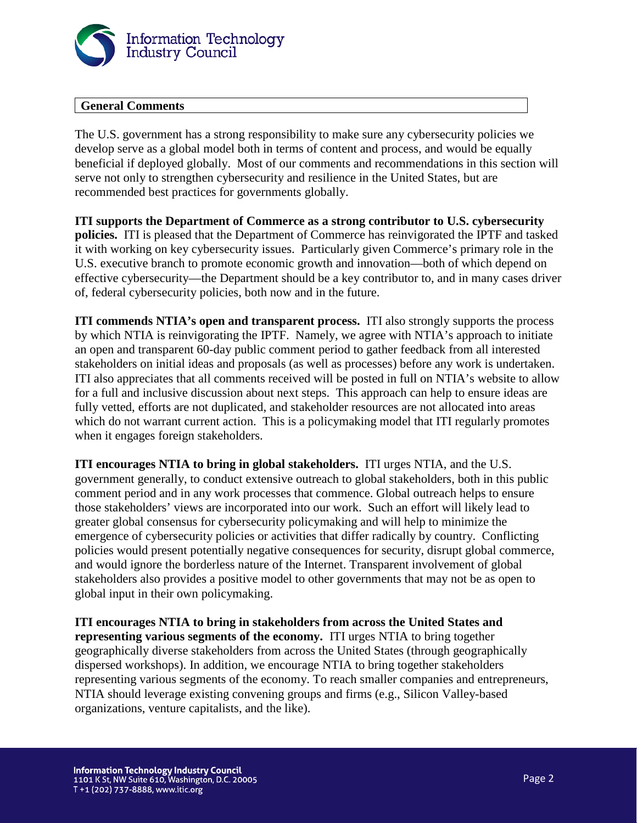

# **General Comments**

The U.S. government has a strong responsibility to make sure any cybersecurity policies we develop serve as a global model both in terms of content and process, and would be equally beneficial if deployed globally. Most of our comments and recommendations in this section will serve not only to strengthen cybersecurity and resilience in the United States, but are recommended best practices for governments globally.

**ITI supports the Department of Commerce as a strong contributor to U.S. cybersecurity policies.** ITI is pleased that the Department of Commerce has reinvigorated the IPTF and tasked it with working on key cybersecurity issues. Particularly given Commerce's primary role in the U.S. executive branch to promote economic growth and innovation—both of which depend on effective cybersecurity—the Department should be a key contributor to, and in many cases driver of, federal cybersecurity policies, both now and in the future.

**ITI commends NTIA's open and transparent process.** ITI also strongly supports the process by which NTIA is reinvigorating the IPTF. Namely, we agree with NTIA's approach to initiate an open and transparent 60-day public comment period to gather feedback from all interested stakeholders on initial ideas and proposals (as well as processes) before any work is undertaken. ITI also appreciates that all comments received will be posted in full on NTIA's website to allow for a full and inclusive discussion about next steps. This approach can help to ensure ideas are fully vetted, efforts are not duplicated, and stakeholder resources are not allocated into areas which do not warrant current action. This is a policymaking model that ITI regularly promotes when it engages foreign stakeholders.

**ITI encourages NTIA to bring in global stakeholders.** ITI urges NTIA, and the U.S. government generally, to conduct extensive outreach to global stakeholders, both in this public comment period and in any work processes that commence. Global outreach helps to ensure those stakeholders' views are incorporated into our work. Such an effort will likely lead to greater global consensus for cybersecurity policymaking and will help to minimize the emergence of cybersecurity policies or activities that differ radically by country. Conflicting policies would present potentially negative consequences for security, disrupt global commerce, and would ignore the borderless nature of the Internet. Transparent involvement of global stakeholders also provides a positive model to other governments that may not be as open to global input in their own policymaking.

**ITI encourages NTIA to bring in stakeholders from across the United States and representing various segments of the economy.** ITI urges NTIA to bring together geographically diverse stakeholders from across the United States (through geographically dispersed workshops). In addition, we encourage NTIA to bring together stakeholders representing various segments of the economy. To reach smaller companies and entrepreneurs, NTIA should leverage existing convening groups and firms (e.g., Silicon Valley-based organizations, venture capitalists, and the like).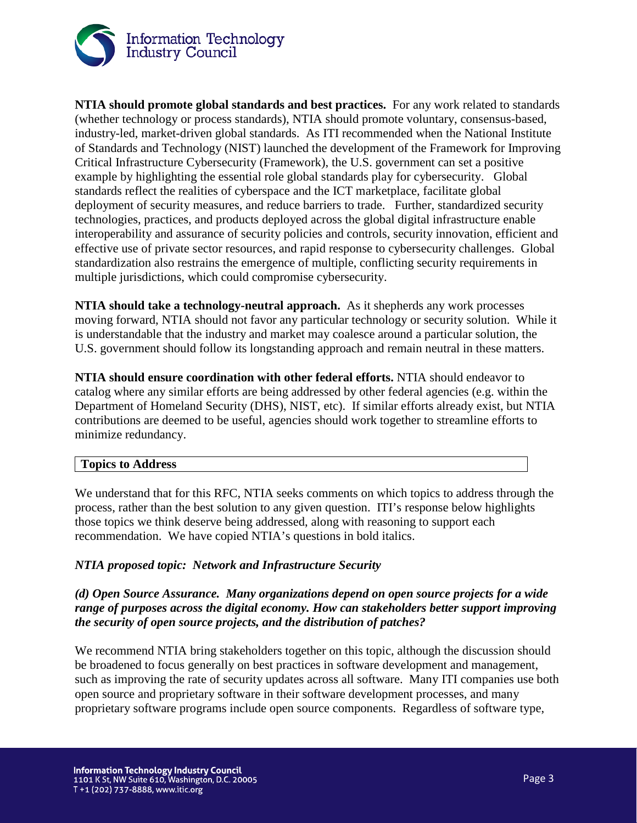

**NTIA should promote global standards and best practices.** For any work related to standards (whether technology or process standards), NTIA should promote voluntary, consensus-based, industry-led, market-driven global standards. As ITI recommended when the National Institute of Standards and Technology (NIST) launched the development of the Framework for Improving Critical Infrastructure Cybersecurity (Framework), the U.S. government can set a positive example by highlighting the essential role global standards play for cybersecurity. Global standards reflect the realities of cyberspace and the ICT marketplace, facilitate global deployment of security measures, and reduce barriers to trade. Further, standardized security technologies, practices, and products deployed across the global digital infrastructure enable interoperability and assurance of security policies and controls, security innovation, efficient and effective use of private sector resources, and rapid response to cybersecurity challenges. Global standardization also restrains the emergence of multiple, conflicting security requirements in multiple jurisdictions, which could compromise cybersecurity.

**NTIA should take a technology-neutral approach.** As it shepherds any work processes moving forward, NTIA should not favor any particular technology or security solution. While it is understandable that the industry and market may coalesce around a particular solution, the U.S. government should follow its longstanding approach and remain neutral in these matters.

**NTIA should ensure coordination with other federal efforts.** NTIA should endeavor to catalog where any similar efforts are being addressed by other federal agencies (e.g. within the Department of Homeland Security (DHS), NIST, etc). If similar efforts already exist, but NTIA contributions are deemed to be useful, agencies should work together to streamline efforts to minimize redundancy.

#### **Topics to Address**

We understand that for this RFC, NTIA seeks comments on which topics to address through the process, rather than the best solution to any given question. ITI's response below highlights those topics we think deserve being addressed, along with reasoning to support each recommendation. We have copied NTIA's questions in bold italics.

#### *NTIA proposed topic: Network and Infrastructure Security*

# *(d) Open Source Assurance. Many organizations depend on open source projects for a wide range of purposes across the digital economy. How can stakeholders better support improving the security of open source projects, and the distribution of patches?*

We recommend NTIA bring stakeholders together on this topic, although the discussion should be broadened to focus generally on best practices in software development and management, such as improving the rate of security updates across all software. Many ITI companies use both open source and proprietary software in their software development processes, and many proprietary software programs include open source components. Regardless of software type,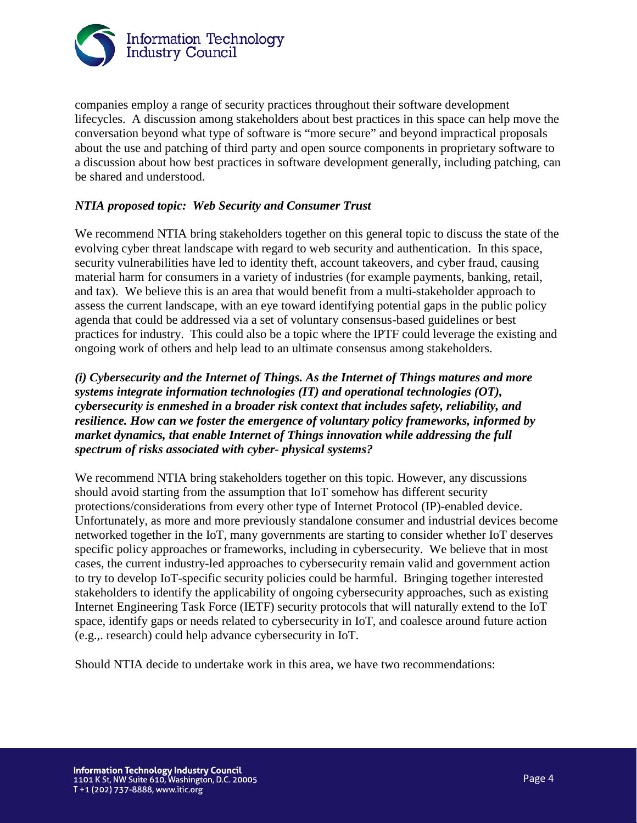

companies employ a range of security practices throughout their software development lifecycles. A discussion among stakeholders about best practices in this space can help move the conversation beyond what type of software is "more secure" and beyond impractical proposals about the use and patching of third party and open source components in proprietary software to a discussion about how best practices in software development generally, including patching, can be shared and understood.

# *NTIA proposed topic: Web Security and Consumer Trust*

We recommend NTIA bring stakeholders together on this general topic to discuss the state of the evolving cyber threat landscape with regard to web security and authentication. In this space, security vulnerabilities have led to identity theft, account takeovers, and cyber fraud, causing material harm for consumers in a variety of industries (for example payments, banking, retail, and tax). We believe this is an area that would benefit from a multi-stakeholder approach to assess the current landscape, with an eye toward identifying potential gaps in the public policy agenda that could be addressed via a set of voluntary consensus-based guidelines or best practices for industry. This could also be a topic where the IPTF could leverage the existing and ongoing work of others and help lead to an ultimate consensus among stakeholders.

# *(i) Cybersecurity and the Internet of Things. As the Internet of Things matures and more systems integrate information technologies (IT) and operational technologies (OT), cybersecurity is enmeshed in a broader risk context that includes safety, reliability, and resilience. How can we foster the emergence of voluntary policy frameworks, informed by market dynamics, that enable Internet of Things innovation while addressing the full spectrum of risks associated with cyber- physical systems?*

We recommend NTIA bring stakeholders together on this topic. However, any discussions should avoid starting from the assumption that IoT somehow has different security protections/considerations from every other type of Internet Protocol (IP)-enabled device. Unfortunately, as more and more previously standalone consumer and industrial devices become networked together in the IoT, many governments are starting to consider whether IoT deserves specific policy approaches or frameworks, including in cybersecurity. We believe that in most cases, the current industry-led approaches to cybersecurity remain valid and government action to try to develop IoT-specific security policies could be harmful. Bringing together interested stakeholders to identify the applicability of ongoing cybersecurity approaches, such as existing Internet Engineering Task Force (IETF) security protocols that will naturally extend to the IoT space, identify gaps or needs related to cybersecurity in IoT, and coalesce around future action (e.g.,. research) could help advance cybersecurity in IoT.

Should NTIA decide to undertake work in this area, we have two recommendations: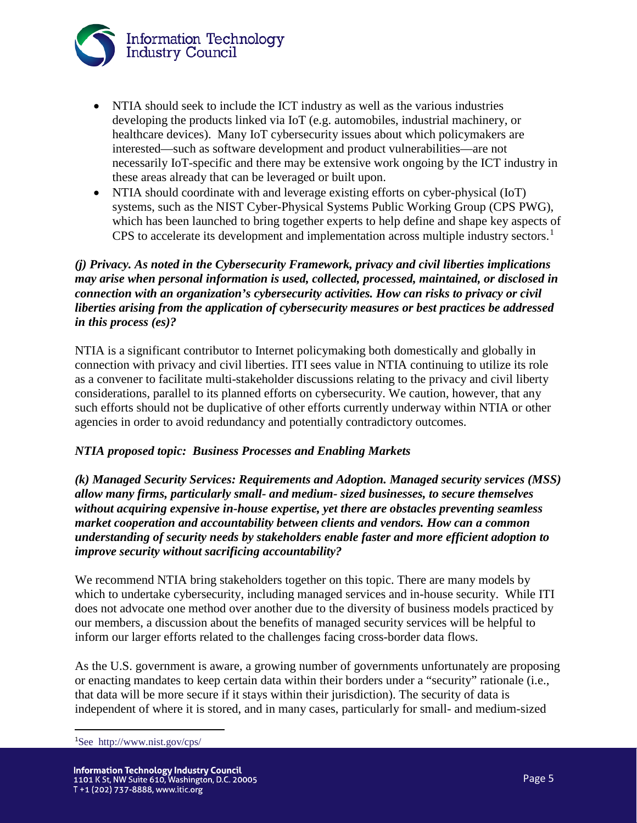

- NTIA should seek to include the ICT industry as well as the various industries developing the products linked via IoT (e.g. automobiles, industrial machinery, or healthcare devices). Many IoT cybersecurity issues about which policymakers are interested—such as software development and product vulnerabilities—are not necessarily IoT-specific and there may be extensive work ongoing by the ICT industry in these areas already that can be leveraged or built upon.
- NTIA should coordinate with and leverage existing efforts on cyber-physical (IoT) systems, such as the NIST Cyber-Physical Systems Public Working Group (CPS PWG), which has been launched to bring together experts to help define and shape key aspects of CPS to accelerate its development and implementation across multiple industry sectors.<sup>[1](#page-4-0)</sup>

# *(j) Privacy. As noted in the Cybersecurity Framework, privacy and civil liberties implications may arise when personal information is used, collected, processed, maintained, or disclosed in connection with an organization's cybersecurity activities. How can risks to privacy or civil liberties arising from the application of cybersecurity measures or best practices be addressed in this process (es)?*

NTIA is a significant contributor to Internet policymaking both domestically and globally in connection with privacy and civil liberties. ITI sees value in NTIA continuing to utilize its role as a convener to facilitate multi-stakeholder discussions relating to the privacy and civil liberty considerations, parallel to its planned efforts on cybersecurity. We caution, however, that any such efforts should not be duplicative of other efforts currently underway within NTIA or other agencies in order to avoid redundancy and potentially contradictory outcomes.

# *NTIA proposed topic: Business Processes and Enabling Markets*

*(k) Managed Security Services: Requirements and Adoption. Managed security services (MSS) allow many firms, particularly small- and medium- sized businesses, to secure themselves without acquiring expensive in-house expertise, yet there are obstacles preventing seamless market cooperation and accountability between clients and vendors. How can a common understanding of security needs by stakeholders enable faster and more efficient adoption to improve security without sacrificing accountability?* 

We recommend NTIA bring stakeholders together on this topic. There are many models by which to undertake cybersecurity, including managed services and in-house security. While ITI does not advocate one method over another due to the diversity of business models practiced by our members, a discussion about the benefits of managed security services will be helpful to inform our larger efforts related to the challenges facing cross-border data flows.

As the U.S. government is aware, a growing number of governments unfortunately are proposing or enacting mandates to keep certain data within their borders under a "security" rationale (i.e., that data will be more secure if it stays within their jurisdiction). The security of data is independent of where it is stored, and in many cases, particularly for small- and medium-sized

<span id="page-4-0"></span>1 See http://www.nist.gov/cps/

l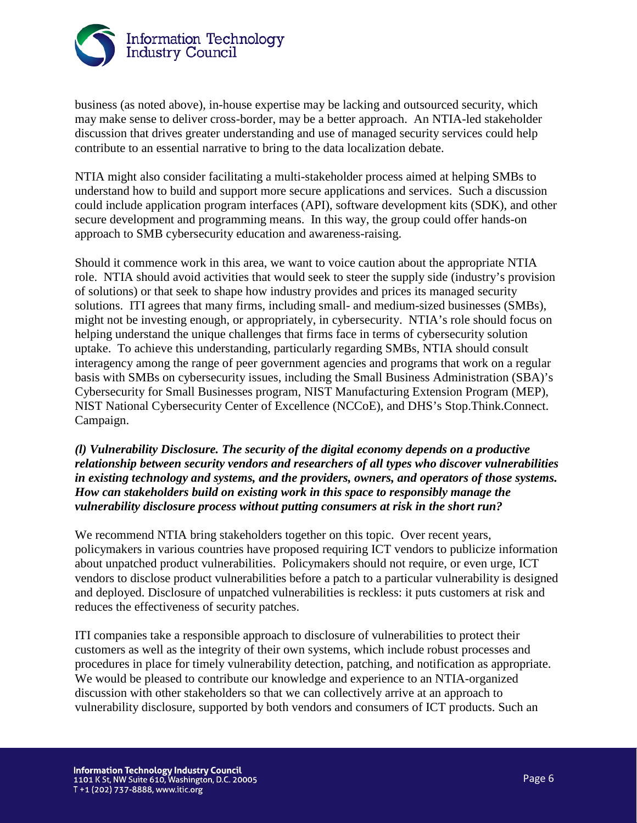

business (as noted above), in-house expertise may be lacking and outsourced security, which may make sense to deliver cross-border, may be a better approach. An NTIA-led stakeholder discussion that drives greater understanding and use of managed security services could help contribute to an essential narrative to bring to the data localization debate.

NTIA might also consider facilitating a multi-stakeholder process aimed at helping SMBs to understand how to build and support more secure applications and services. Such a discussion could include application program interfaces (API), software development kits (SDK), and other secure development and programming means. In this way, the group could offer hands-on approach to SMB cybersecurity education and awareness-raising.

Should it commence work in this area, we want to voice caution about the appropriate NTIA role. NTIA should avoid activities that would seek to steer the supply side (industry's provision of solutions) or that seek to shape how industry provides and prices its managed security solutions. ITI agrees that many firms, including small- and medium-sized businesses (SMBs), might not be investing enough, or appropriately, in cybersecurity. NTIA's role should focus on helping understand the unique challenges that firms face in terms of cybersecurity solution uptake. To achieve this understanding, particularly regarding SMBs, NTIA should consult interagency among the range of peer government agencies and programs that work on a regular basis with SMBs on cybersecurity issues, including the Small Business Administration (SBA)'s Cybersecurity for Small Businesses program, NIST Manufacturing Extension Program (MEP), NIST National Cybersecurity Center of Excellence (NCCoE), and DHS's Stop.Think.Connect. Campaign.

# *(l) Vulnerability Disclosure. The security of the digital economy depends on a productive relationship between security vendors and researchers of all types who discover vulnerabilities in existing technology and systems, and the providers, owners, and operators of those systems. How can stakeholders build on existing work in this space to responsibly manage the vulnerability disclosure process without putting consumers at risk in the short run?*

We recommend NTIA bring stakeholders together on this topic. Over recent years, policymakers in various countries have proposed requiring ICT vendors to publicize information about unpatched product vulnerabilities. Policymakers should not require, or even urge, ICT vendors to disclose product vulnerabilities before a patch to a particular vulnerability is designed and deployed. Disclosure of unpatched vulnerabilities is reckless: it puts customers at risk and reduces the effectiveness of security patches.

ITI companies take a responsible approach to disclosure of vulnerabilities to protect their customers as well as the integrity of their own systems, which include robust processes and procedures in place for timely vulnerability detection, patching, and notification as appropriate. We would be pleased to contribute our knowledge and experience to an NTIA-organized discussion with other stakeholders so that we can collectively arrive at an approach to vulnerability disclosure, supported by both vendors and consumers of ICT products. Such an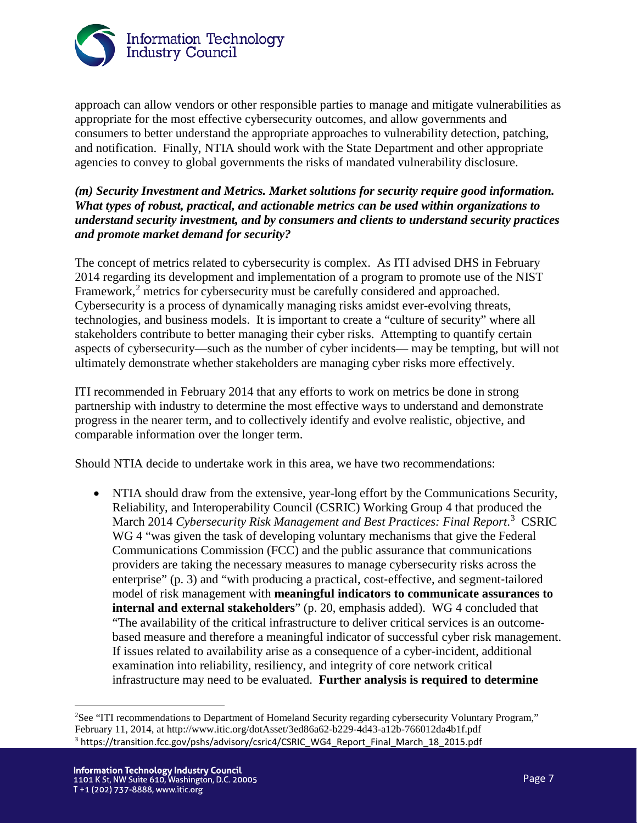

approach can allow vendors or other responsible parties to manage and mitigate vulnerabilities as appropriate for the most effective cybersecurity outcomes, and allow governments and consumers to better understand the appropriate approaches to vulnerability detection, patching, and notification. Finally, NTIA should work with the State Department and other appropriate agencies to convey to global governments the risks of mandated vulnerability disclosure.

# *(m) Security Investment and Metrics. Market solutions for security require good information. What types of robust, practical, and actionable metrics can be used within organizations to understand security investment, and by consumers and clients to understand security practices and promote market demand for security?*

The concept of metrics related to cybersecurity is complex. As ITI advised DHS in February 2014 regarding its development and implementation of a program to promote use of the NIST Framework,<sup>[2](#page-6-0)</sup> metrics for cybersecurity must be carefully considered and approached. Cybersecurity is a process of dynamically managing risks amidst ever-evolving threats, technologies, and business models. It is important to create a "culture of security" where all stakeholders contribute to better managing their cyber risks. Attempting to quantify certain aspects of cybersecurity—such as the number of cyber incidents— may be tempting, but will not ultimately demonstrate whether stakeholders are managing cyber risks more effectively.

ITI recommended in February 2014 that any efforts to work on metrics be done in strong partnership with industry to determine the most effective ways to understand and demonstrate progress in the nearer term, and to collectively identify and evolve realistic, objective, and comparable information over the longer term.

Should NTIA decide to undertake work in this area, we have two recommendations:

• NTIA should draw from the extensive, year-long effort by the Communications Security, Reliability, and Interoperability Council (CSRIC) Working Group 4 that produced the March 2014 Cybersecurity Risk Management and Best Practices: Final Report.<sup>[3](#page-6-1)</sup> CSRIC WG 4 "was given the task of developing voluntary mechanisms that give the Federal Communications Commission (FCC) and the public assurance that communications providers are taking the necessary measures to manage cybersecurity risks across the enterprise" (p. 3) and "with producing a practical, cost-effective, and segment-tailored model of risk management with **meaningful indicators to communicate assurances to internal and external stakeholders**" (p. 20, emphasis added). WG 4 concluded that "The availability of the critical infrastructure to deliver critical services is an outcome‐ based measure and therefore a meaningful indicator of successful cyber risk management. If issues related to availability arise as a consequence of a cyber-incident, additional examination into reliability, resiliency, and integrity of core network critical infrastructure may need to be evaluated. **Further analysis is required to determine** 

l

<span id="page-6-1"></span><span id="page-6-0"></span><sup>&</sup>lt;sup>2</sup>See "ITI recommendations to Department of Homeland Security regarding cybersecurity Voluntary Program," February 11, 2014, at http://www.itic.org/dotAsset/3ed86a62-b229-4d43-a12b-766012da4b1f.pdf <sup>3</sup> https://transition.fcc.gov/pshs/advisory/csric4/CSRIC\_WG4\_Report\_Final\_March\_18\_2015.pdf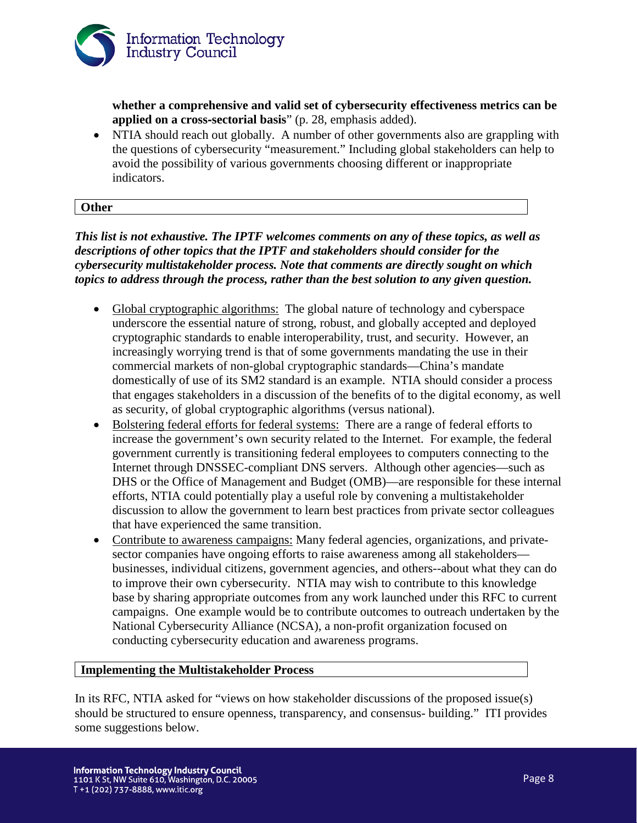

**whether a comprehensive and valid set of cybersecurity effectiveness metrics can be applied on a cross**‐**sectorial basis**" (p. 28, emphasis added).

• NTIA should reach out globally. A number of other governments also are grappling with the questions of cybersecurity "measurement." Including global stakeholders can help to avoid the possibility of various governments choosing different or inappropriate indicators.

# **Other**

*This list is not exhaustive. The IPTF welcomes comments on any of these topics, as well as descriptions of other topics that the IPTF and stakeholders should consider for the cybersecurity multistakeholder process. Note that comments are directly sought on which topics to address through the process, rather than the best solution to any given question.* 

- Global cryptographic algorithms: The global nature of technology and cyberspace underscore the essential nature of strong, robust, and globally accepted and deployed cryptographic standards to enable interoperability, trust, and security. However, an increasingly worrying trend is that of some governments mandating the use in their commercial markets of non-global cryptographic standards—China's mandate domestically of use of its SM2 standard is an example. NTIA should consider a process that engages stakeholders in a discussion of the benefits of to the digital economy, as well as security, of global cryptographic algorithms (versus national).
- Bolstering federal efforts for federal systems: There are a range of federal efforts to increase the government's own security related to the Internet. For example, the federal government currently is transitioning federal employees to computers connecting to the Internet through DNSSEC-compliant DNS servers. Although other agencies—such as DHS or the Office of Management and Budget (OMB)—are responsible for these internal efforts, NTIA could potentially play a useful role by convening a multistakeholder discussion to allow the government to learn best practices from private sector colleagues that have experienced the same transition.
- Contribute to awareness campaigns: Many federal agencies, organizations, and privatesector companies have ongoing efforts to raise awareness among all stakeholders businesses, individual citizens, government agencies, and others--about what they can do to improve their own cybersecurity. NTIA may wish to contribute to this knowledge base by sharing appropriate outcomes from any work launched under this RFC to current campaigns. One example would be to contribute outcomes to outreach undertaken by the National Cybersecurity Alliance (NCSA), a non-profit organization focused on conducting cybersecurity education and awareness programs.

#### **Implementing the Multistakeholder Process**

In its RFC, NTIA asked for "views on how stakeholder discussions of the proposed issue(s) should be structured to ensure openness, transparency, and consensus- building." ITI provides some suggestions below.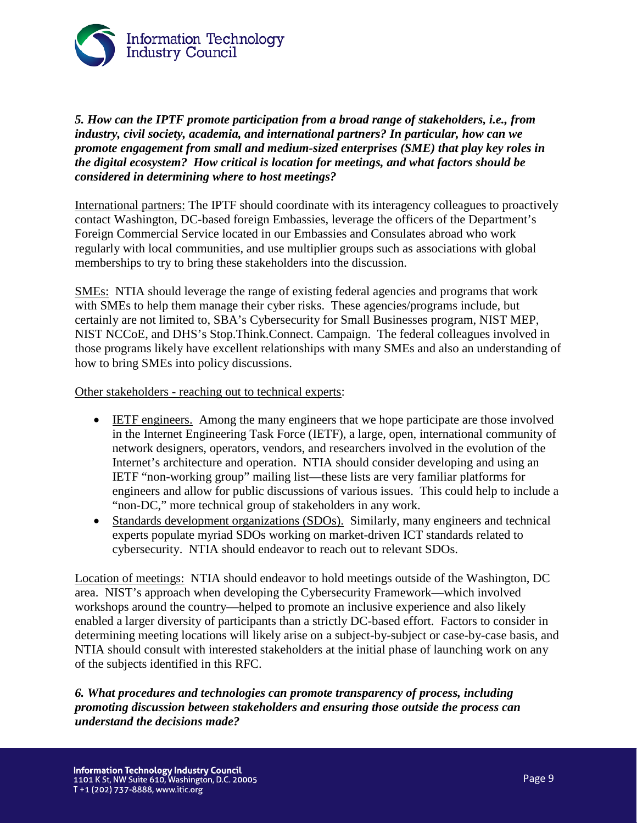

*5. How can the IPTF promote participation from a broad range of stakeholders, i.e., from industry, civil society, academia, and international partners? In particular, how can we promote engagement from small and medium-sized enterprises (SME) that play key roles in the digital ecosystem? How critical is location for meetings, and what factors should be considered in determining where to host meetings?*

International partners: The IPTF should coordinate with its interagency colleagues to proactively contact Washington, DC-based foreign Embassies, leverage the officers of the Department's Foreign Commercial Service located in our Embassies and Consulates abroad who work regularly with local communities, and use multiplier groups such as associations with global memberships to try to bring these stakeholders into the discussion.

SMEs: NTIA should leverage the range of existing federal agencies and programs that work with SMEs to help them manage their cyber risks. These agencies/programs include, but certainly are not limited to, SBA's Cybersecurity for Small Businesses program, NIST MEP, NIST NCCoE, and DHS's Stop.Think.Connect. Campaign. The federal colleagues involved in those programs likely have excellent relationships with many SMEs and also an understanding of how to bring SMEs into policy discussions.

Other stakeholders - reaching out to technical experts:

- IETF engineers. Among the many engineers that we hope participate are those involved in the Internet Engineering Task Force (IETF), a large, open, international community of network designers, operators, vendors, and researchers involved in the evolution of the Internet's architecture and operation. NTIA should consider developing and using an IETF "non-working group" mailing list—these lists are very familiar platforms for engineers and allow for public discussions of various issues. This could help to include a "non-DC," more technical group of stakeholders in any work.
- Standards development organizations (SDOs). Similarly, many engineers and technical experts populate myriad SDOs working on market-driven ICT standards related to cybersecurity. NTIA should endeavor to reach out to relevant SDOs.

Location of meetings: NTIA should endeavor to hold meetings outside of the Washington, DC area. NIST's approach when developing the Cybersecurity Framework—which involved workshops around the country—helped to promote an inclusive experience and also likely enabled a larger diversity of participants than a strictly DC-based effort. Factors to consider in determining meeting locations will likely arise on a subject-by-subject or case-by-case basis, and NTIA should consult with interested stakeholders at the initial phase of launching work on any of the subjects identified in this RFC.

*6. What procedures and technologies can promote transparency of process, including promoting discussion between stakeholders and ensuring those outside the process can understand the decisions made?*